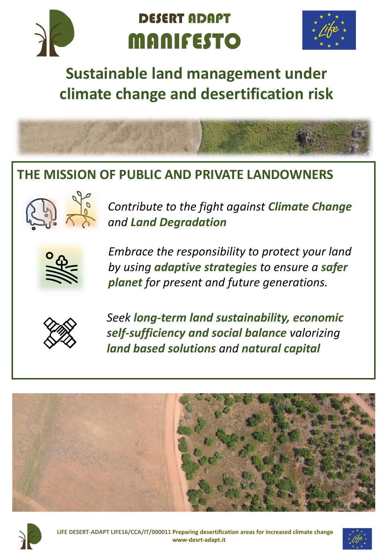

# DESERT ADAPT MANIFESTO



## **Sustainable land management under climate change and desertification risk**



### **THE MISSION OF PUBLIC AND PRIVATE LANDOWNERS**



*Contribute to the fight against Climate Change and Land Degradation* 



*Embrace the responsibility to protect your land by using adaptive strategies to ensure a safer planet for present and future generations.*



*Seek long-term land sustainability, economic self-sufficiency and social balance valorizing land based solutions and natural capital*